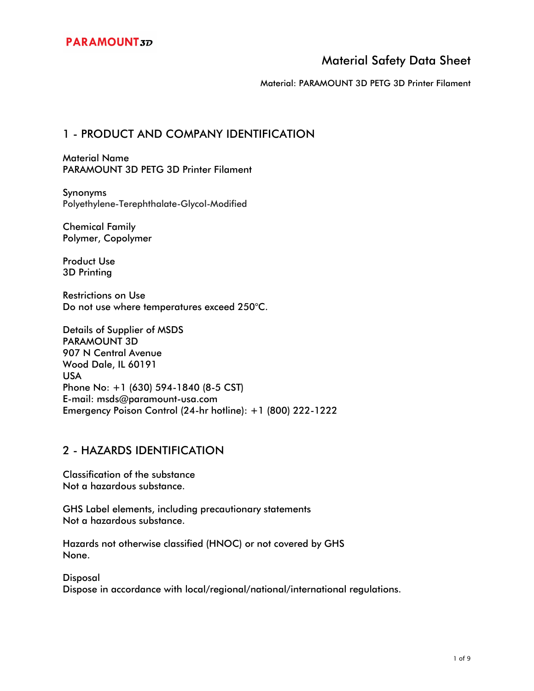Material: PARAMOUNT 3D PETG 3D Printer Filament

## 1 - PRODUCT AND COMPANY IDENTIFICATION

Material Name PARAMOUNT 3D PETG 3D Printer Filament

Synonyms Polyethylene-Terephthalate-Glycol-Modified

Chemical Family Polymer, Copolymer

Product Use 3D Printing

Restrictions on Use Do not use where temperatures exceed 250°C.

Details of Supplier of MSDS PARAMOUNT 3D 907 N Central Avenue Wood Dale, IL 60191 USA Phone No: +1 (630) 594-1840 (8-5 CST) E-mail: msds@paramount-usa.com Emergency Poison Control (24-hr hotline): +1 (800) 222-1222

### 2 - HAZARDS IDENTIFICATION

Classification of the substance Not a hazardous substance.

GHS Label elements, including precautionary statements Not a hazardous substance.

Hazards not otherwise classified (HNOC) or not covered by GHS None.

**Disposal** 

Dispose in accordance with local/regional/national/international regulations.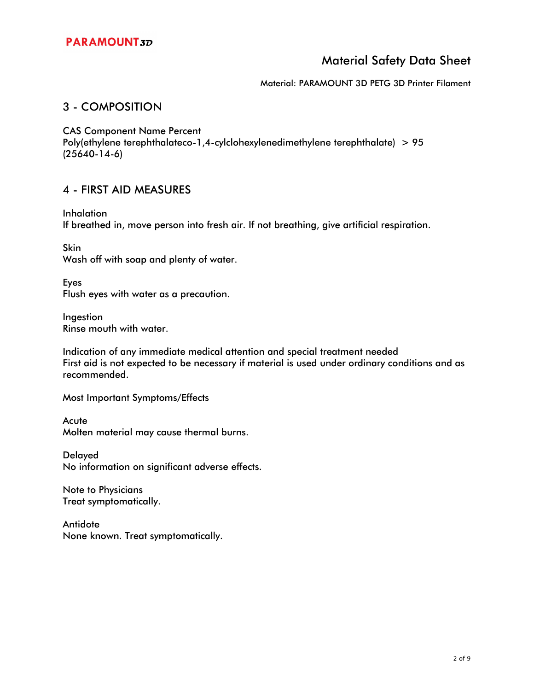Material: PARAMOUNT 3D PETG 3D Printer Filament

## 3 - COMPOSITION

CAS Component Name Percent

Poly(ethylene terephthalateco-1,4-cylclohexylenedimethylene terephthalate) > 95 (25640-14-6)

### 4 - FIRST AID MEASURES

Inhalation If breathed in, move person into fresh air. If not breathing, give artificial respiration.

Skin Wash off with soap and plenty of water.

Eyes Flush eyes with water as a precaution.

Ingestion Rinse mouth with water.

Indication of any immediate medical attention and special treatment needed First aid is not expected to be necessary if material is used under ordinary conditions and as recommended.

Most Important Symptoms/Effects

**Acute** Molten material may cause thermal burns.

Delayed No information on significant adverse effects.

Note to Physicians Treat symptomatically.

**Antidote** None known. Treat symptomatically.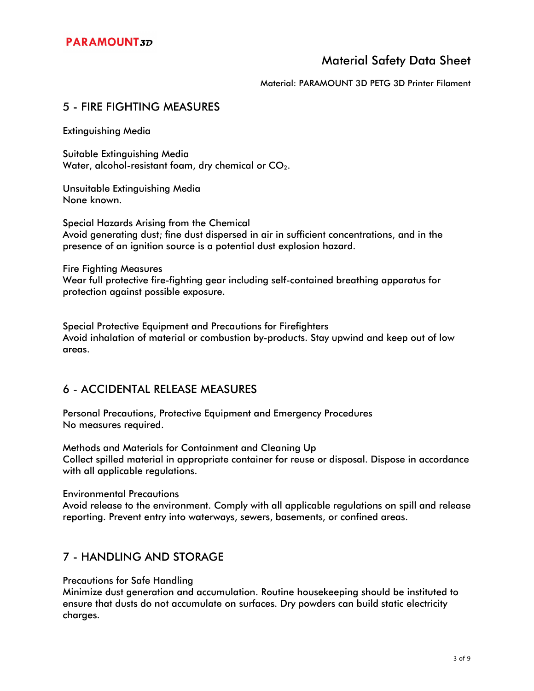Material: PARAMOUNT 3D PETG 3D Printer Filament

## 5 - FIRE FIGHTING MEASURES

Extinguishing Media

Suitable Extinguishing Media Water, alcohol-resistant foam, dry chemical or  $CO<sub>2</sub>$ .

Unsuitable Extinguishing Media None known.

Special Hazards Arising from the Chemical Avoid generating dust; fine dust dispersed in air in sufficient concentrations, and in the presence of an ignition source is a potential dust explosion hazard.

Fire Fighting Measures Wear full protective fire-fighting gear including self-contained breathing apparatus for protection against possible exposure.

Special Protective Equipment and Precautions for Firefighters Avoid inhalation of material or combustion by-products. Stay upwind and keep out of low areas.

## 6 - ACCIDENTAL RELEASE MEASURES

Personal Precautions, Protective Equipment and Emergency Procedures No measures required.

Methods and Materials for Containment and Cleaning Up Collect spilled material in appropriate container for reuse or disposal. Dispose in accordance with all applicable regulations.

Environmental Precautions

Avoid release to the environment. Comply with all applicable regulations on spill and release reporting. Prevent entry into waterways, sewers, basements, or confined areas.

### 7 - HANDLING AND STORAGE

Precautions for Safe Handling

Minimize dust generation and accumulation. Routine housekeeping should be instituted to ensure that dusts do not accumulate on surfaces. Dry powders can build static electricity charges.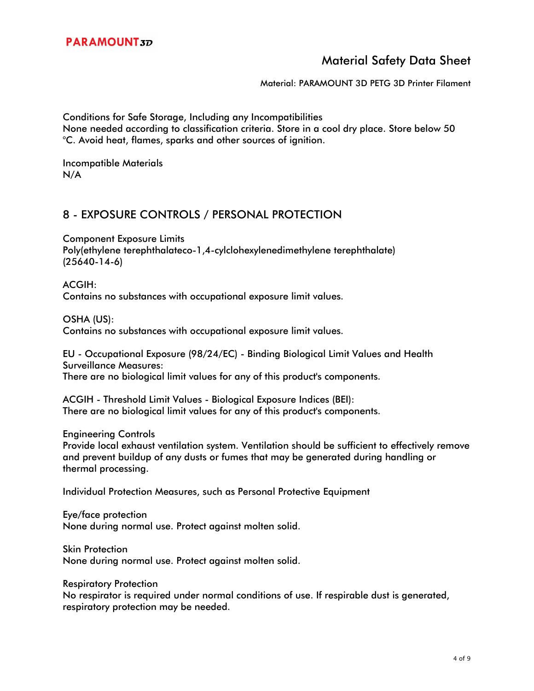Material: PARAMOUNT 3D PETG 3D Printer Filament

Conditions for Safe Storage, Including any Incompatibilities None needed according to classification criteria. Store in a cool dry place. Store below 50 °C. Avoid heat, flames, sparks and other sources of ignition.

Incompatible Materials N/A

## 8 - EXPOSURE CONTROLS / PERSONAL PROTECTION

Component Exposure Limits Poly(ethylene terephthalateco-1,4-cylclohexylenedimethylene terephthalate) (25640-14-6)

ACGIH: Contains no substances with occupational exposure limit values.

OSHA (US):

Contains no substances with occupational exposure limit values.

EU - Occupational Exposure (98/24/EC) - Binding Biological Limit Values and Health Surveillance Measures: There are no biological limit values for any of this product's components.

ACGIH - Threshold Limit Values - Biological Exposure Indices (BEI): There are no biological limit values for any of this product's components.

Engineering Controls

Provide local exhaust ventilation system. Ventilation should be sufficient to effectively remove and prevent buildup of any dusts or fumes that may be generated during handling or thermal processing.

Individual Protection Measures, such as Personal Protective Equipment

Eye/face protection None during normal use. Protect against molten solid.

Skin Protection None during normal use. Protect against molten solid.

Respiratory Protection

No respirator is required under normal conditions of use. If respirable dust is generated, respiratory protection may be needed.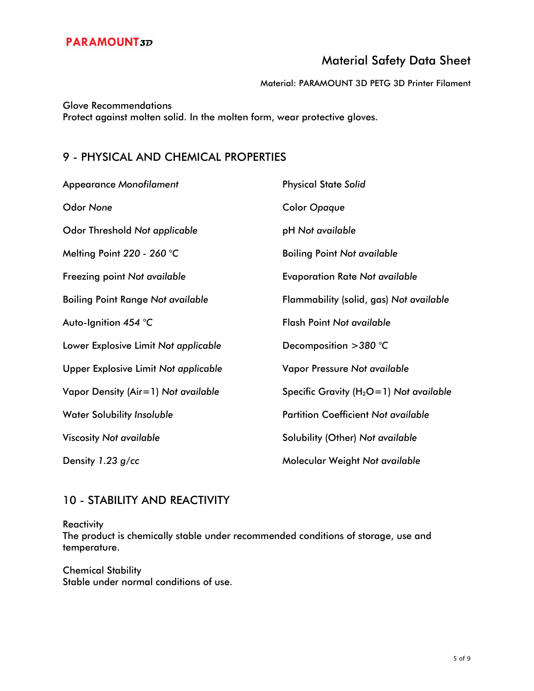Material: PARAMOUNT 3D PETG 3D Printer Filament

Glove Recommendations Protect against molten solid. In the molten form, wear protective gloves.

# 9 - PHYSICAL AND CHEMICAL PROPERTIES

| <b>Appearance Monofilament</b>           | <b>Physical State Solid</b>                 |
|------------------------------------------|---------------------------------------------|
| <b>Odor None</b>                         | <b>Color Opaque</b>                         |
| Odor Threshold Not applicable            | pH Not available                            |
| Melting Point 220 - 260 °C               | <b>Boiling Point Not available</b>          |
| Freezing point Not available             | <b>Evaporation Rate Not available</b>       |
| <b>Boiling Point Range Not available</b> | Flammability (solid, gas) Not available     |
| Auto-Ignition 454 °C                     | <b>Flash Point Not available</b>            |
| Lower Explosive Limit Not applicable     | Decomposition $>380$ °C                     |
| Upper Explosive Limit Not applicable     | Vapor Pressure Not available                |
| Vapor Density (Air=1) Not available      | Specific Gravity ( $H_2O=1$ ) Not available |
| <b>Water Solubility Insoluble</b>        | <b>Partition Coefficient Not available</b>  |
| <b>Viscosity Not available</b>           | Solubility (Other) Not available            |
| Density 1.23 g/cc                        | Molecular Weight Not available              |

# 10 - STABILITY AND REACTIVITY

**Reactivity** 

The product is chemically stable under recommended conditions of storage, use and temperature.

Chemical Stability Stable under normal conditions of use.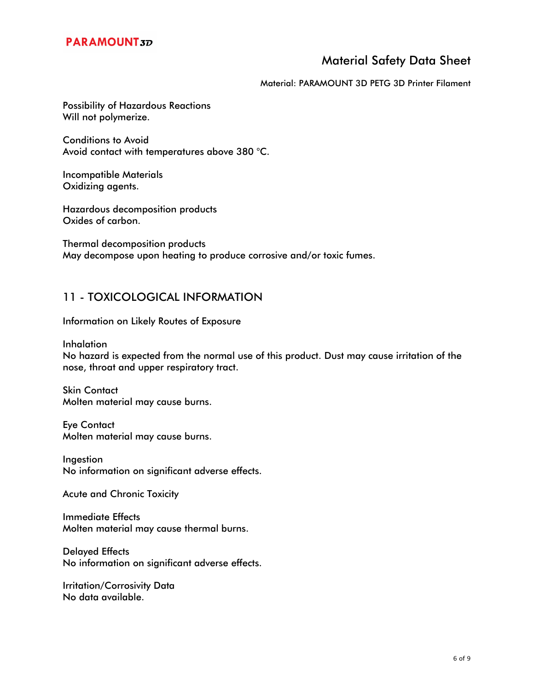## **PARAMOUNT3D**

# Material Safety Data Sheet

Material: PARAMOUNT 3D PETG 3D Printer Filament

Possibility of Hazardous Reactions Will not polymerize.

Conditions to Avoid Avoid contact with temperatures above 380 °C.

Incompatible Materials Oxidizing agents.

Hazardous decomposition products Oxides of carbon.

Thermal decomposition products May decompose upon heating to produce corrosive and/or toxic fumes.

### 11 - TOXICOLOGICAL INFORMATION

Information on Likely Routes of Exposure

Inhalation

No hazard is expected from the normal use of this product. Dust may cause irritation of the nose, throat and upper respiratory tract.

Skin Contact Molten material may cause burns.

Eye Contact Molten material may cause burns.

Ingestion No information on significant adverse effects.

Acute and Chronic Toxicity

Immediate Effects Molten material may cause thermal burns.

Delayed Effects No information on significant adverse effects.

Irritation/Corrosivity Data No data available.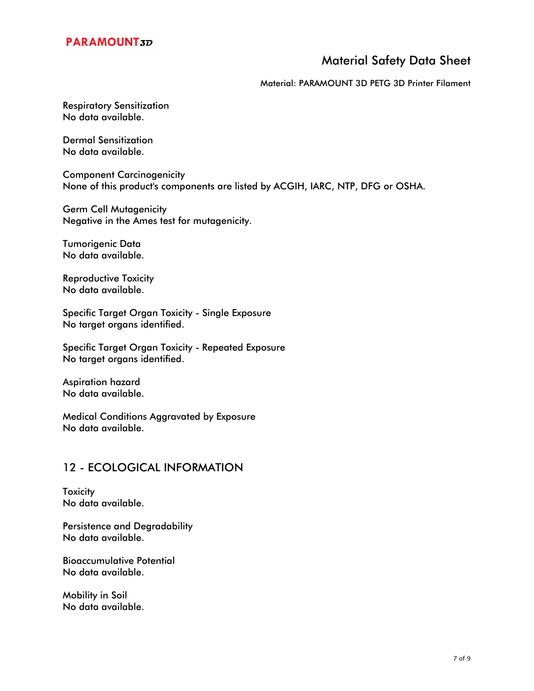## **PARAMOUNT3D**

## Material Safety Data Sheet

#### Material: PARAMOUNT 3D PETG 3D Printer Filament

Respiratory Sensitization No data available.

Dermal Sensitization No data available.

Component Carcinogenicity None of this product's components are listed by ACGIH, IARC, NTP, DFG or OSHA.

Germ Cell Mutagenicity Negative in the Ames test for mutagenicity.

Tumorigenic Data No data available.

Reproductive Toxicity No data available.

Specific Target Organ Toxicity - Single Exposure No target organs identified.

Specific Target Organ Toxicity - Repeated Exposure No target organs identified.

Aspiration hazard No data available.

Medical Conditions Aggravated by Exposure No data available.

## 12 - ECOLOGICAL INFORMATION

**Toxicity** No data available.

Persistence and Degradability No data available.

Bioaccumulative Potential No data available.

Mobility in Soil No data available.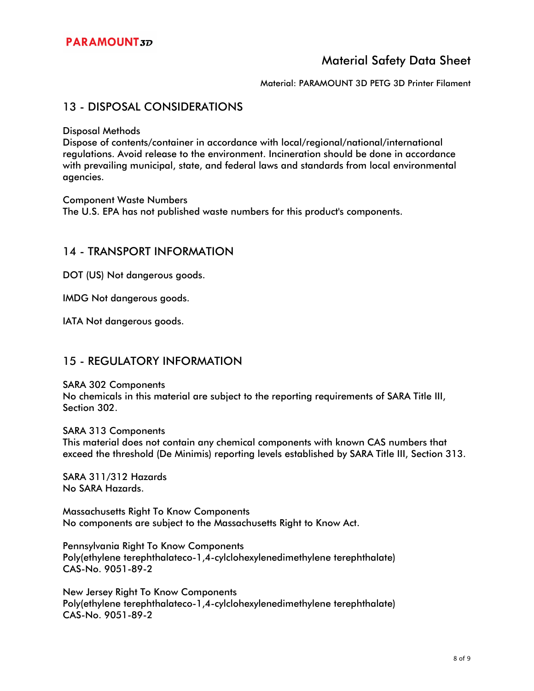Material: PARAMOUNT 3D PETG 3D Printer Filament

#### 13 - DISPOSAL CONSIDERATIONS

Disposal Methods

Dispose of contents/container in accordance with local/regional/national/international regulations. Avoid release to the environment. Incineration should be done in accordance with prevailing municipal, state, and federal laws and standards from local environmental agencies.

Component Waste Numbers

The U.S. EPA has not published waste numbers for this product's components.

#### 14 - TRANSPORT INFORMATION

DOT (US) Not dangerous goods.

IMDG Not dangerous goods.

IATA Not dangerous goods.

#### 15 - REGULATORY INFORMATION

SARA 302 Components

No chemicals in this material are subject to the reporting requirements of SARA Title III, Section 302.

SARA 313 Components This material does not contain any chemical components with known CAS numbers that exceed the threshold (De Minimis) reporting levels established by SARA Title III, Section 313.

SARA 311/312 Hazards No SARA Hazards.

Massachusetts Right To Know Components No components are subject to the Massachusetts Right to Know Act.

Pennsylvania Right To Know Components Poly(ethylene terephthalateco-1,4-cylclohexylenedimethylene terephthalate) CAS-No. 9051-89-2

New Jersey Right To Know Components Poly(ethylene terephthalateco-1,4-cylclohexylenedimethylene terephthalate) CAS-No. 9051-89-2